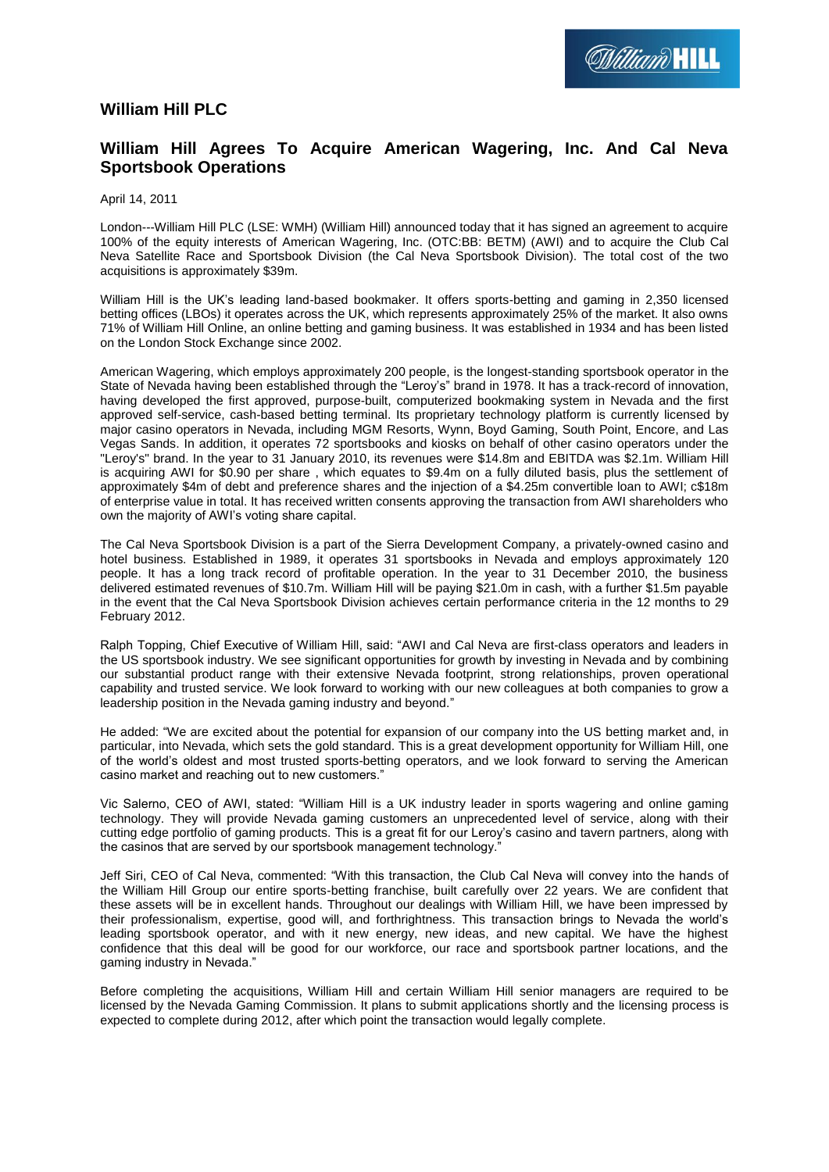

## **William Hill PLC**

## **William Hill Agrees To Acquire American Wagering, Inc. And Cal Neva Sportsbook Operations**

April 14, 2011

London---William Hill PLC (LSE: WMH) (William Hill) announced today that it has signed an agreement to acquire 100% of the equity interests of American Wagering, Inc. (OTC:BB: BETM) (AWI) and to acquire the Club Cal Neva Satellite Race and Sportsbook Division (the Cal Neva Sportsbook Division). The total cost of the two acquisitions is approximately \$39m.

William Hill is the UK's leading land-based bookmaker. It offers sports-betting and gaming in 2,350 licensed betting offices (LBOs) it operates across the UK, which represents approximately 25% of the market. It also owns 71% of William Hill Online, an online betting and gaming business. It was established in 1934 and has been listed on the London Stock Exchange since 2002.

American Wagering, which employs approximately 200 people, is the longest-standing sportsbook operator in the State of Nevada having been established through the "Leroy's" brand in 1978. It has a track-record of innovation, having developed the first approved, purpose-built, computerized bookmaking system in Nevada and the first approved self-service, cash-based betting terminal. Its proprietary technology platform is currently licensed by major casino operators in Nevada, including MGM Resorts, Wynn, Boyd Gaming, South Point, Encore, and Las Vegas Sands. In addition, it operates 72 sportsbooks and kiosks on behalf of other casino operators under the "Leroy's" brand. In the year to 31 January 2010, its revenues were \$14.8m and EBITDA was \$2.1m. William Hill is acquiring AWI for \$0.90 per share , which equates to \$9.4m on a fully diluted basis, plus the settlement of approximately \$4m of debt and preference shares and the injection of a \$4.25m convertible loan to AWI; c\$18m of enterprise value in total. It has received written consents approving the transaction from AWI shareholders who own the majority of AWI's voting share capital.

The Cal Neva Sportsbook Division is a part of the Sierra Development Company, a privately-owned casino and hotel business. Established in 1989, it operates 31 sportsbooks in Nevada and employs approximately 120 people. It has a long track record of profitable operation. In the year to 31 December 2010, the business delivered estimated revenues of \$10.7m. William Hill will be paying \$21.0m in cash, with a further \$1.5m payable in the event that the Cal Neva Sportsbook Division achieves certain performance criteria in the 12 months to 29 February 2012.

Ralph Topping, Chief Executive of William Hill, said: "AWI and Cal Neva are first-class operators and leaders in the US sportsbook industry. We see significant opportunities for growth by investing in Nevada and by combining our substantial product range with their extensive Nevada footprint, strong relationships, proven operational capability and trusted service. We look forward to working with our new colleagues at both companies to grow a leadership position in the Nevada gaming industry and beyond."

He added: "We are excited about the potential for expansion of our company into the US betting market and, in particular, into Nevada, which sets the gold standard. This is a great development opportunity for William Hill, one of the world's oldest and most trusted sports-betting operators, and we look forward to serving the American casino market and reaching out to new customers."

Vic Salerno, CEO of AWI, stated: "William Hill is a UK industry leader in sports wagering and online gaming technology. They will provide Nevada gaming customers an unprecedented level of service, along with their cutting edge portfolio of gaming products. This is a great fit for our Leroy's casino and tavern partners, along with the casinos that are served by our sportsbook management technology."

Jeff Siri, CEO of Cal Neva, commented: "With this transaction, the Club Cal Neva will convey into the hands of the William Hill Group our entire sports-betting franchise, built carefully over 22 years. We are confident that these assets will be in excellent hands. Throughout our dealings with William Hill, we have been impressed by their professionalism, expertise, good will, and forthrightness. This transaction brings to Nevada the world's leading sportsbook operator, and with it new energy, new ideas, and new capital. We have the highest confidence that this deal will be good for our workforce, our race and sportsbook partner locations, and the gaming industry in Nevada."

Before completing the acquisitions, William Hill and certain William Hill senior managers are required to be licensed by the Nevada Gaming Commission. It plans to submit applications shortly and the licensing process is expected to complete during 2012, after which point the transaction would legally complete.